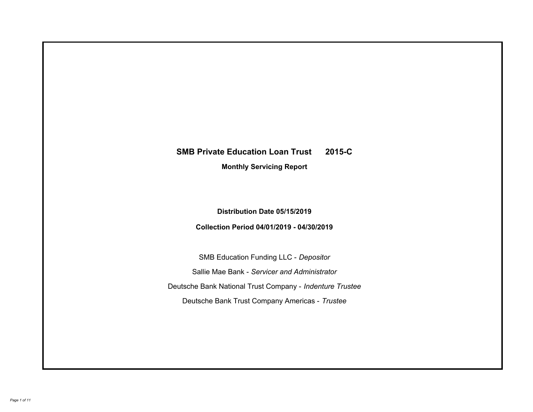# **SMB Private Education Loan Trust 2015-C Monthly Servicing Report**

## **Distribution Date 05/15/2019**

## **Collection Period 04/01/2019 - 04/30/2019**

SMB Education Funding LLC - *Depositor* Sallie Mae Bank - *Servicer and Administrator* Deutsche Bank National Trust Company - *Indenture Trustee* Deutsche Bank Trust Company Americas - *Trustee*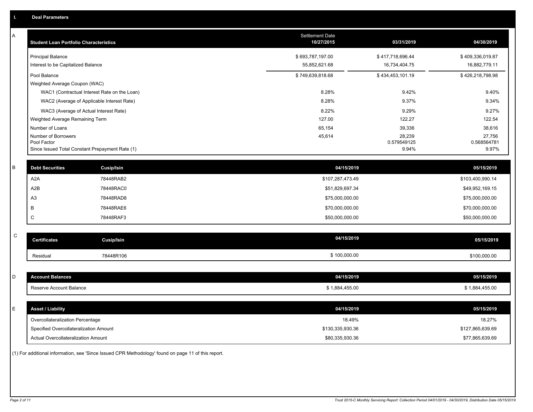| A           | <b>Student Loan Portfolio Characteristics</b>   |                                              | Settlement Date<br>10/27/2015 | 03/31/2019            | 04/30/2019            |
|-------------|-------------------------------------------------|----------------------------------------------|-------------------------------|-----------------------|-----------------------|
|             | <b>Principal Balance</b>                        |                                              | \$693,787,197.00              | \$417,718,696.44      | \$409,336,019.87      |
|             | Interest to be Capitalized Balance              |                                              | 55,852,621.68                 | 16,734,404.75         | 16,882,779.11         |
|             | Pool Balance                                    |                                              | \$749,639,818.68              | \$434,453,101.19      | \$426,218,798.98      |
|             | Weighted Average Coupon (WAC)                   |                                              |                               |                       |                       |
|             |                                                 | WAC1 (Contractual Interest Rate on the Loan) | 8.28%                         | 9.42%                 | 9.40%                 |
|             |                                                 | WAC2 (Average of Applicable Interest Rate)   | 8.28%                         | 9.37%                 | 9.34%                 |
|             | WAC3 (Average of Actual Interest Rate)          |                                              | 8.22%                         | 9.29%                 | 9.27%                 |
|             | Weighted Average Remaining Term                 |                                              | 127.00                        | 122.27                | 122.54                |
|             | Number of Loans                                 |                                              | 65,154                        | 39,336                | 38,616                |
|             | Number of Borrowers<br>Pool Factor              |                                              | 45,614                        | 28,239<br>0.579549125 | 27,756<br>0.568564781 |
|             | Since Issued Total Constant Prepayment Rate (1) |                                              |                               | 9.94%                 | 9.97%                 |
|             |                                                 |                                              |                               |                       |                       |
| $\mathsf B$ | <b>Debt Securities</b>                          | Cusip/Isin                                   | 04/15/2019                    |                       | 05/15/2019            |
|             | A <sub>2</sub> A                                | 78448RAB2                                    | \$107,287,473.49              |                       | \$103,400,990.14      |
|             | A2B                                             | 78448RAC0                                    | \$51,829,697.34               |                       | \$49,952,169.15       |
|             | A3                                              | 78448RAD8                                    | \$75,000,000.00               |                       | \$75,000,000.00       |
|             | B                                               | 78448RAE6                                    | \$70,000,000.00               |                       | \$70,000,000.00       |
|             | C                                               | 78448RAF3                                    | \$50,000,000.00               |                       | \$50,000,000.00       |
|             |                                                 |                                              |                               |                       |                       |
| $\mathsf C$ | <b>Certificates</b>                             | <b>Cusip/Isin</b>                            | 04/15/2019                    |                       | 05/15/2019            |
|             | Residual                                        | 78448R106                                    | \$100,000.00                  |                       | \$100,000.00          |
|             |                                                 |                                              |                               |                       |                       |
| D           | <b>Account Balances</b>                         |                                              | 04/15/2019                    |                       | 05/15/2019            |
|             | Reserve Account Balance                         |                                              | \$1,884,455.00                |                       | \$1,884,455.00        |
|             |                                                 |                                              |                               |                       |                       |
| Ε           | <b>Asset / Liability</b>                        |                                              | 04/15/2019                    |                       | 05/15/2019            |
|             | Overcollateralization Percentage                |                                              | 18.49%                        |                       | 18.27%                |
|             | Specified Overcollateralization Amount          |                                              | \$130,335,930.36              |                       | \$127,865,639.69      |
|             | Actual Overcollateralization Amount             |                                              | \$80,335,930.36               |                       | \$77,865,639.69       |

(1) For additional information, see 'Since Issued CPR Methodology' found on page 11 of this report.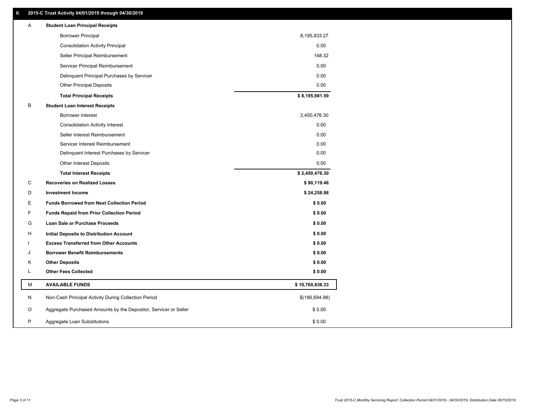### **II. 2015-C Trust Activity 04/01/2019 through 04/30/2019**

| Α | <b>Student Loan Principal Receipts</b>                           |                 |  |
|---|------------------------------------------------------------------|-----------------|--|
|   | <b>Borrower Principal</b>                                        | 8,195,833.27    |  |
|   | <b>Consolidation Activity Principal</b>                          | 0.00            |  |
|   | Seller Principal Reimbursement                                   | 148.32          |  |
|   | Servicer Principal Reimbursement                                 | 0.00            |  |
|   | Delinquent Principal Purchases by Servicer                       | 0.00            |  |
|   | <b>Other Principal Deposits</b>                                  | 0.00            |  |
|   | <b>Total Principal Receipts</b>                                  | \$8,195,981.59  |  |
| В | <b>Student Loan Interest Receipts</b>                            |                 |  |
|   | <b>Borrower Interest</b>                                         | 2,450,476.30    |  |
|   | <b>Consolidation Activity Interest</b>                           | 0.00            |  |
|   | Seller Interest Reimbursement                                    | 0.00            |  |
|   | Servicer Interest Reimbursement                                  | 0.00            |  |
|   | Delinquent Interest Purchases by Servicer                        | 0.00            |  |
|   | <b>Other Interest Deposits</b>                                   | 0.00            |  |
|   | <b>Total Interest Receipts</b>                                   | \$2,450,476.30  |  |
| C | <b>Recoveries on Realized Losses</b>                             | \$90,119.46     |  |
| D | <b>Investment Income</b>                                         | \$24,258.98     |  |
| Е | <b>Funds Borrowed from Next Collection Period</b>                | \$0.00          |  |
| F | <b>Funds Repaid from Prior Collection Period</b>                 | \$0.00          |  |
| G | Loan Sale or Purchase Proceeds                                   | \$0.00          |  |
| н | Initial Deposits to Distribution Account                         | \$0.00          |  |
|   | <b>Excess Transferred from Other Accounts</b>                    | \$0.00          |  |
| J | <b>Borrower Benefit Reimbursements</b>                           | \$0.00          |  |
| Κ | <b>Other Deposits</b>                                            | \$0.00          |  |
| L | <b>Other Fees Collected</b>                                      | \$0.00          |  |
| М | <b>AVAILABLE FUNDS</b>                                           | \$10,760,836.33 |  |
| N | Non-Cash Principal Activity During Collection Period             | \$(186,694.98)  |  |
| O | Aggregate Purchased Amounts by the Depositor, Servicer or Seller | \$0.00          |  |
| P | Aggregate Loan Substitutions                                     | \$0.00          |  |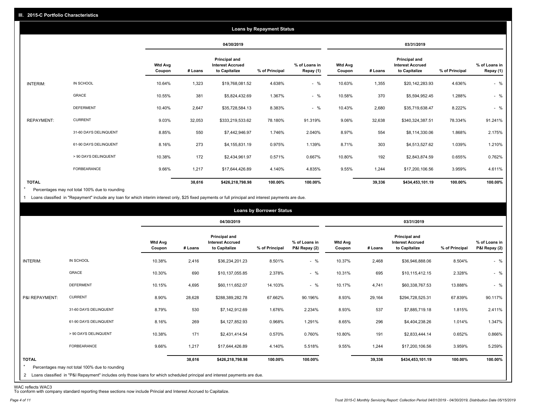|                   |                       |                          | <b>Loans by Repayment Status</b> |                                                           |                |                            |                          |         |                                                           |                |                            |
|-------------------|-----------------------|--------------------------|----------------------------------|-----------------------------------------------------------|----------------|----------------------------|--------------------------|---------|-----------------------------------------------------------|----------------|----------------------------|
|                   |                       |                          |                                  | 04/30/2019                                                |                |                            | 03/31/2019               |         |                                                           |                |                            |
|                   |                       | <b>Wtd Avg</b><br>Coupon | # Loans                          | Principal and<br><b>Interest Accrued</b><br>to Capitalize | % of Principal | % of Loans in<br>Repay (1) | <b>Wtd Avg</b><br>Coupon | # Loans | Principal and<br><b>Interest Accrued</b><br>to Capitalize | % of Principal | % of Loans in<br>Repay (1) |
| INTERIM:          | IN SCHOOL             | 10.64%                   | 1,323                            | \$19,768,081.52                                           | 4.638%         | $-$ %                      | 10.63%                   | 1,355   | \$20,142,283.93                                           | 4.636%         | $-$ %                      |
|                   | <b>GRACE</b>          | 10.55%                   | 381                              | \$5,824,432.69                                            | 1.367%         | $-$ %                      | 10.58%                   | 370     | \$5,594,952.45                                            | 1.288%         | $-$ %                      |
|                   | <b>DEFERMENT</b>      | 10.40%                   | 2,647                            | \$35,728,584.13                                           | 8.383%         | $-$ %                      | 10.43%                   | 2,680   | \$35,719,638.47                                           | 8.222%         | $-$ %                      |
| <b>REPAYMENT:</b> | <b>CURRENT</b>        | 9.03%                    | 32,053                           | \$333,219,533.62                                          | 78.180%        | 91.319%                    | 9.06%                    | 32,638  | \$340,324,387.51                                          | 78.334%        | 91.241%                    |
|                   | 31-60 DAYS DELINQUENT | 8.85%                    | 550                              | \$7,442,946.97                                            | 1.746%         | 2.040%                     | 8.97%                    | 554     | \$8,114,330.06                                            | 1.868%         | 2.175%                     |
|                   | 61-90 DAYS DELINQUENT | 8.16%                    | 273                              | \$4,155,831.19                                            | 0.975%         | 1.139%                     | 8.71%                    | 303     | \$4,513,527.62                                            | 1.039%         | 1.210%                     |
|                   | > 90 DAYS DELINQUENT  | 10.38%                   | 172                              | \$2,434,961.97                                            | 0.571%         | 0.667%                     | 10.80%                   | 192     | \$2,843,874.59                                            | 0.655%         | 0.762%                     |
|                   | FORBEARANCE           | 9.66%                    | 1,217                            | \$17,644,426.89                                           | 4.140%         | 4.835%                     | 9.55%                    | 1,244   | \$17,200,106.56                                           | 3.959%         | 4.611%                     |
| <b>TOTAL</b>      |                       |                          | 38,616                           | \$426,218,798.98                                          | 100.00%        | 100.00%                    |                          | 39,336  | \$434,453,101.19                                          | 100.00%        | 100.00%                    |

Percentages may not total 100% due to rounding  $\star$ 

1 Loans classified in "Repayment" include any loan for which interim interest only, \$25 fixed payments or full principal and interest payments are due.

|                         |                                                                                                                                                                                |                          |         |                                                                  | <b>Loans by Borrower Status</b> |                                |                          |         |                                                                  |                |                                |
|-------------------------|--------------------------------------------------------------------------------------------------------------------------------------------------------------------------------|--------------------------|---------|------------------------------------------------------------------|---------------------------------|--------------------------------|--------------------------|---------|------------------------------------------------------------------|----------------|--------------------------------|
|                         |                                                                                                                                                                                |                          |         | 04/30/2019                                                       |                                 |                                |                          |         | 03/31/2019                                                       |                |                                |
|                         |                                                                                                                                                                                | <b>Wtd Avg</b><br>Coupon | # Loans | <b>Principal and</b><br><b>Interest Accrued</b><br>to Capitalize | % of Principal                  | % of Loans in<br>P&I Repay (2) | <b>Wtd Avg</b><br>Coupon | # Loans | <b>Principal and</b><br><b>Interest Accrued</b><br>to Capitalize | % of Principal | % of Loans in<br>P&I Repay (2) |
| INTERIM:                | IN SCHOOL                                                                                                                                                                      | 10.38%                   | 2,416   | \$36,234,201.23                                                  | 8.501%                          | $-$ %                          | 10.37%                   | 2,468   | \$36,946,888.06                                                  | 8.504%         | $-$ %                          |
|                         | GRACE                                                                                                                                                                          | 10.30%                   | 690     | \$10,137,055.85                                                  | 2.378%                          | $-$ %                          | 10.31%                   | 695     | \$10,115,412.15                                                  | 2.328%         | $-$ %                          |
|                         | <b>DEFERMENT</b>                                                                                                                                                               | 10.15%                   | 4,695   | \$60,111,652.07                                                  | 14.103%                         | $-$ %                          | 10.17%                   | 4,741   | \$60,338,767.53                                                  | 13.888%        | $-$ %                          |
| P&I REPAYMENT:          | <b>CURRENT</b>                                                                                                                                                                 | 8.90%                    | 28,628  | \$288,389,282.78                                                 | 67.662%                         | 90.196%                        | 8.93%                    | 29,164  | \$294,728,525.31                                                 | 67.839%        | 90.117%                        |
|                         | 31-60 DAYS DELINQUENT                                                                                                                                                          | 8.79%                    | 530     | \$7,142,912.69                                                   | 1.676%                          | 2.234%                         | 8.93%                    | 537     | \$7,885,719.18                                                   | 1.815%         | 2.411%                         |
|                         | 61-90 DAYS DELINQUENT                                                                                                                                                          | 8.16%                    | 269     | \$4,127,852.93                                                   | 0.968%                          | 1.291%                         | 8.65%                    | 296     | \$4,404,238.26                                                   | 1.014%         | 1.347%                         |
|                         | > 90 DAYS DELINQUENT                                                                                                                                                           | 10.38%                   | 171     | \$2,431,414.54                                                   | 0.570%                          | 0.760%                         | 10.80%                   | 191     | \$2,833,444.14                                                   | 0.652%         | 0.866%                         |
|                         | FORBEARANCE                                                                                                                                                                    | 9.66%                    | 1,217   | \$17,644,426.89                                                  | 4.140%                          | 5.518%                         | 9.55%                    | 1,244   | \$17,200,106.56                                                  | 3.959%         | 5.259%                         |
| <b>TOTAL</b><br>$\star$ | Percentages may not total 100% due to rounding<br>2 Loans classified in "P&I Repayment" includes only those loans for which scheduled principal and interest payments are due. |                          | 38,616  | \$426,218,798.98                                                 | 100.00%                         | 100.00%                        |                          | 39,336  | \$434,453,101.19                                                 | 100.00%        | 100.00%                        |

WAC reflects WAC3 To conform with company standard reporting these sections now include Princial and Interest Accrued to Capitalize.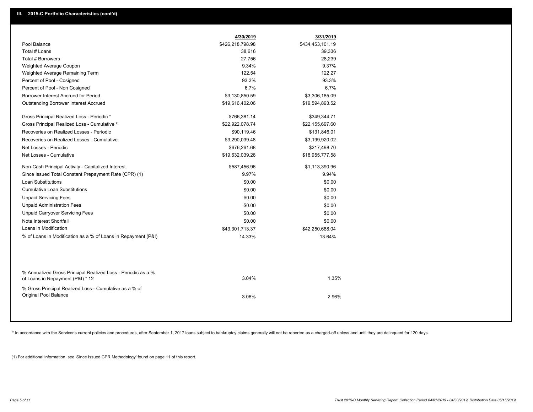|                                                                                                  | 4/30/2019        | 3/31/2019        |  |
|--------------------------------------------------------------------------------------------------|------------------|------------------|--|
| Pool Balance                                                                                     | \$426,218,798.98 | \$434,453,101.19 |  |
| Total # Loans                                                                                    | 38,616           | 39,336           |  |
| <b>Total # Borrowers</b>                                                                         | 27,756           | 28,239           |  |
| Weighted Average Coupon                                                                          | 9.34%            | 9.37%            |  |
| Weighted Average Remaining Term                                                                  | 122.54           | 122.27           |  |
| Percent of Pool - Cosigned                                                                       | 93.3%            | 93.3%            |  |
| Percent of Pool - Non Cosigned                                                                   | 6.7%             | 6.7%             |  |
| Borrower Interest Accrued for Period                                                             | \$3,130,850.59   | \$3,306,185.09   |  |
| <b>Outstanding Borrower Interest Accrued</b>                                                     | \$19,616,402.06  | \$19,594,893.52  |  |
| Gross Principal Realized Loss - Periodic *                                                       | \$766,381.14     | \$349,344.71     |  |
| Gross Principal Realized Loss - Cumulative *                                                     | \$22,922,078.74  | \$22,155,697.60  |  |
| Recoveries on Realized Losses - Periodic                                                         | \$90,119.46      | \$131,846.01     |  |
| Recoveries on Realized Losses - Cumulative                                                       | \$3,290,039.48   | \$3,199,920.02   |  |
| Net Losses - Periodic                                                                            | \$676,261.68     | \$217,498.70     |  |
| Net Losses - Cumulative                                                                          | \$19,632,039.26  | \$18,955,777.58  |  |
| Non-Cash Principal Activity - Capitalized Interest                                               | \$587,456.96     | \$1,113,390.96   |  |
| Since Issued Total Constant Prepayment Rate (CPR) (1)                                            | 9.97%            | 9.94%            |  |
| Loan Substitutions                                                                               | \$0.00           | \$0.00           |  |
| <b>Cumulative Loan Substitutions</b>                                                             | \$0.00           | \$0.00           |  |
| <b>Unpaid Servicing Fees</b>                                                                     | \$0.00           | \$0.00           |  |
| <b>Unpaid Administration Fees</b>                                                                | \$0.00           | \$0.00           |  |
| <b>Unpaid Carryover Servicing Fees</b>                                                           | \$0.00           | \$0.00           |  |
| Note Interest Shortfall                                                                          | \$0.00           | \$0.00           |  |
| Loans in Modification                                                                            | \$43,301,713.37  | \$42,250,688.04  |  |
| % of Loans in Modification as a % of Loans in Repayment (P&I)                                    | 14.33%           | 13.64%           |  |
|                                                                                                  |                  |                  |  |
| % Annualized Gross Principal Realized Loss - Periodic as a %<br>of Loans in Repayment (P&I) * 12 | 3.04%            | 1.35%            |  |
| % Gross Principal Realized Loss - Cumulative as a % of<br><b>Original Pool Balance</b>           | 3.06%            | 2.96%            |  |
|                                                                                                  |                  |                  |  |

\* In accordance with the Servicer's current policies and procedures, after September 1, 2017 loans subject to bankruptcy claims generally will not be reported as a charged-off unless and until they are delinquent for 120 d

(1) For additional information, see 'Since Issued CPR Methodology' found on page 11 of this report.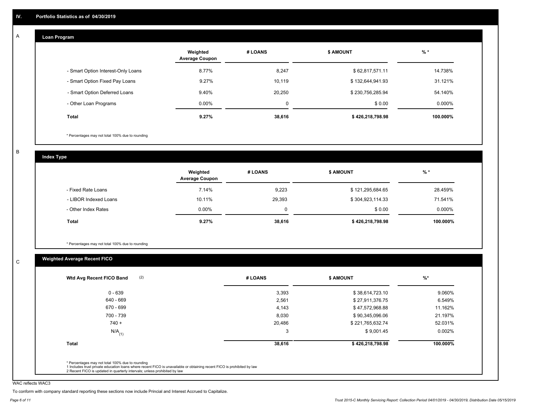#### **Loan Program**  A

|                                    | Weighted<br><b>Average Coupon</b> | # LOANS     | <b>\$ AMOUNT</b> | $%$ *    |
|------------------------------------|-----------------------------------|-------------|------------------|----------|
| - Smart Option Interest-Only Loans | 8.77%                             | 8,247       | \$62,817,571.11  | 14.738%  |
| - Smart Option Fixed Pay Loans     | 9.27%                             | 10,119      | \$132,644,941.93 | 31.121%  |
| - Smart Option Deferred Loans      | 9.40%                             | 20.250      | \$230,756,285.94 | 54.140%  |
| - Other Loan Programs              | $0.00\%$                          | $\mathbf 0$ | \$0.00           | 0.000%   |
| <b>Total</b>                       | 9.27%                             | 38,616      | \$426,218,798.98 | 100.000% |

\* Percentages may not total 100% due to rounding

B

C

**Index Type**

|                       | Weighted<br><b>Average Coupon</b> | # LOANS | <b>\$ AMOUNT</b> | $%$ *    |
|-----------------------|-----------------------------------|---------|------------------|----------|
| - Fixed Rate Loans    | 7.14%                             | 9,223   | \$121,295,684.65 | 28.459%  |
| - LIBOR Indexed Loans | 10.11%                            | 29,393  | \$304,923,114.33 | 71.541%  |
| - Other Index Rates   | $0.00\%$                          |         | \$0.00           | 0.000%   |
| Total                 | 9.27%                             | 38,616  | \$426,218,798.98 | 100.000% |

\* Percentages may not total 100% due to rounding

### **Weighted Average Recent FICO**

|                      |        | <b>\$ AMOUNT</b> | $\frac{9}{6}$ * |
|----------------------|--------|------------------|-----------------|
| $0 - 639$            | 3,393  | \$38,614,723.10  | 9.060%          |
| 640 - 669            | 2,561  | \$27,911,376.75  | 6.549%          |
| 670 - 699            | 4,143  | \$47,572,968.88  | 11.162%         |
| 700 - 739            | 8,030  | \$90,345,096.06  | 21.197%         |
| $740 +$              | 20,486 | \$221,765,632.74 | 52.031%         |
| $N/A$ <sub>(1)</sub> | 3      | \$9,001.45       | $0.002\%$       |
| Total                | 38,616 | \$426,218,798.98 | 100.000%        |

WAC reflects WAC3

To conform with company standard reporting these sections now include Princial and Interest Accrued to Capitalize.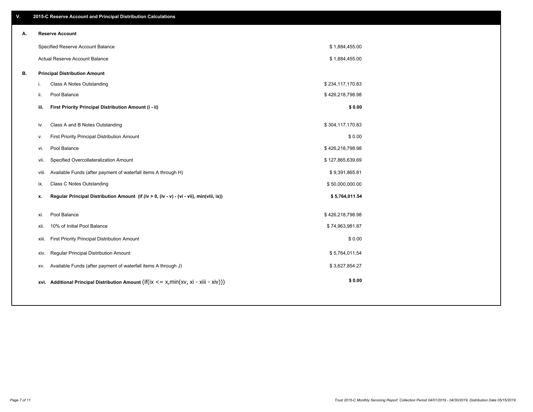| V. |     | 2015-C Reserve Account and Principal Distribution Calculations                             |                  |  |
|----|-----|--------------------------------------------------------------------------------------------|------------------|--|
| А. |     | <b>Reserve Account</b>                                                                     |                  |  |
|    |     | Specified Reserve Account Balance                                                          | \$1,884,455.00   |  |
|    |     | Actual Reserve Account Balance                                                             | \$1,884,455.00   |  |
| В. |     | <b>Principal Distribution Amount</b>                                                       |                  |  |
|    | j.  | Class A Notes Outstanding                                                                  | \$234,117,170.83 |  |
|    | ii. | Pool Balance                                                                               | \$426,218,798.98 |  |
|    |     | First Priority Principal Distribution Amount (i - ii)<br>iii.                              | \$0.00           |  |
|    | iv. | Class A and B Notes Outstanding                                                            | \$304,117,170.83 |  |
|    |     | First Priority Principal Distribution Amount                                               | \$0.00           |  |
|    | v.  |                                                                                            |                  |  |
|    | vi. | Pool Balance                                                                               | \$426,218,798.98 |  |
|    |     | Specified Overcollateralization Amount<br>vii.                                             | \$127,865,639.69 |  |
|    |     | Available Funds (after payment of waterfall items A through H)<br>viii.                    | \$9,391,865.81   |  |
|    |     | <b>Class C Notes Outstanding</b><br>ix.                                                    | \$50,000,000.00  |  |
|    | x.  | Regular Principal Distribution Amount (if (iv > 0, (iv - v) - (vi - vii), min(viii, ix))   | \$5,764,011.54   |  |
|    |     | Pool Balance                                                                               |                  |  |
|    | xi. |                                                                                            | \$426,218,798.98 |  |
|    |     | 10% of Initial Pool Balance<br>xii.                                                        | \$74,963,981.87  |  |
|    |     | First Priority Principal Distribution Amount<br>xiii.                                      | \$0.00           |  |
|    |     | Regular Principal Distribution Amount<br>XIV.                                              | \$5,764,011.54   |  |
|    |     | Available Funds (after payment of waterfall items A through J)<br>XV.                      | \$3,627,854.27   |  |
|    |     | xvi. Additional Principal Distribution Amount (if(ix $\lt$ = x, min(xv, xi - xiii - xiv))) | \$0.00           |  |
|    |     |                                                                                            |                  |  |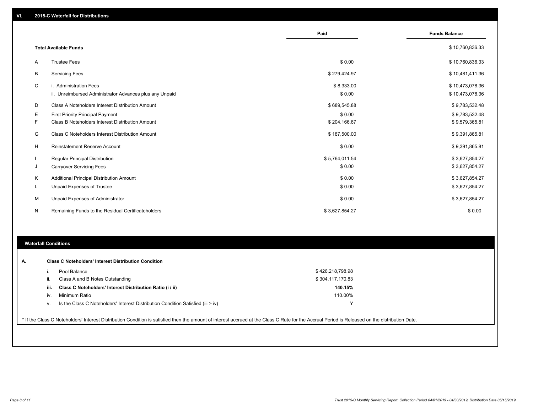|         |                                                                                             | Paid                     | <b>Funds Balance</b>               |
|---------|---------------------------------------------------------------------------------------------|--------------------------|------------------------------------|
|         | <b>Total Available Funds</b>                                                                |                          | \$10,760,836.33                    |
| A       | <b>Trustee Fees</b>                                                                         | \$0.00                   | \$10,760,836.33                    |
| B       | <b>Servicing Fees</b>                                                                       | \$279,424.97             | \$10,481,411.36                    |
| C       | i. Administration Fees<br>ii. Unreimbursed Administrator Advances plus any Unpaid           | \$8,333.00<br>\$0.00     | \$10,473,078.36<br>\$10,473,078.36 |
| D       | Class A Noteholders Interest Distribution Amount                                            | \$689,545.88             | \$9,783,532.48                     |
| Е<br>F  | <b>First Priority Principal Payment</b><br>Class B Noteholders Interest Distribution Amount | \$0.00<br>\$204,166.67   | \$9,783,532.48<br>\$9,579,365.81   |
| G       | Class C Noteholders Interest Distribution Amount                                            | \$187,500.00             | \$9,391,865.81                     |
| H       | <b>Reinstatement Reserve Account</b>                                                        | \$0.00                   | \$9,391,865.81                     |
| J       | <b>Regular Principal Distribution</b><br><b>Carryover Servicing Fees</b>                    | \$5,764,011.54<br>\$0.00 | \$3,627,854.27<br>\$3,627,854.27   |
| K<br>L. | Additional Principal Distribution Amount<br><b>Unpaid Expenses of Trustee</b>               | \$0.00<br>\$0.00         | \$3,627,854.27<br>\$3,627,854.27   |
| м       | Unpaid Expenses of Administrator                                                            | \$0.00                   | \$3,627,854.27                     |
| N       | Remaining Funds to the Residual Certificateholders                                          | \$3,627,854.27           | \$0.00                             |

### **Waterfall Conditions**

|      | Pool Balance                                                                                                                                                                                    | \$426,218,798.98 |  |
|------|-------------------------------------------------------------------------------------------------------------------------------------------------------------------------------------------------|------------------|--|
| ii.  | Class A and B Notes Outstanding                                                                                                                                                                 | \$304,117,170.83 |  |
| iii. | Class C Noteholders' Interest Distribution Ratio (i / ii)                                                                                                                                       | 140.15%          |  |
| iv.  | Minimum Ratio                                                                                                                                                                                   | 110.00%          |  |
| V.   | Is the Class C Noteholders' Interest Distribution Condition Satisfied (iii > iv)                                                                                                                | $\checkmark$     |  |
|      | * If the Class C Noteholders' Interest Distribution Condition is satisfied then the amount of interest accrued at the Class C Rate for the Accrual Period is Released on the distribution Date. |                  |  |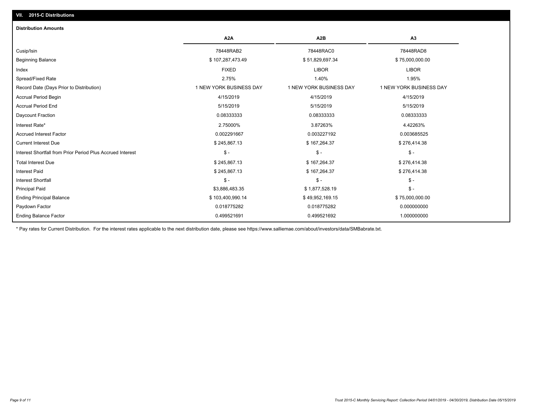### **VII. 2015-C Distributions**

| <b>Distribution Amounts</b>                                |                         |                         |                         |
|------------------------------------------------------------|-------------------------|-------------------------|-------------------------|
|                                                            | A <sub>2</sub> A        | A <sub>2</sub> B        | A3                      |
| Cusip/Isin                                                 | 78448RAB2               | 78448RAC0               | 78448RAD8               |
| <b>Beginning Balance</b>                                   | \$107,287,473.49        | \$51,829,697.34         | \$75,000,000.00         |
| Index                                                      | <b>FIXED</b>            | <b>LIBOR</b>            | <b>LIBOR</b>            |
| Spread/Fixed Rate                                          | 2.75%                   | 1.40%                   | 1.95%                   |
| Record Date (Days Prior to Distribution)                   | 1 NEW YORK BUSINESS DAY | 1 NEW YORK BUSINESS DAY | 1 NEW YORK BUSINESS DAY |
| <b>Accrual Period Begin</b>                                | 4/15/2019               | 4/15/2019               | 4/15/2019               |
| <b>Accrual Period End</b>                                  | 5/15/2019               | 5/15/2019               | 5/15/2019               |
| Daycount Fraction                                          | 0.08333333              | 0.08333333              | 0.08333333              |
| Interest Rate*                                             | 2.75000%                | 3.87263%                | 4.42263%                |
| <b>Accrued Interest Factor</b>                             | 0.002291667             | 0.003227192             | 0.003685525             |
| <b>Current Interest Due</b>                                | \$245,867.13            | \$167,264.37            | \$276,414.38            |
| Interest Shortfall from Prior Period Plus Accrued Interest | $\mathsf{\$}$ -         | $\frac{1}{2}$           | $\frac{1}{2}$           |
| <b>Total Interest Due</b>                                  | \$245,867.13            | \$167,264.37            | \$276,414.38            |
| <b>Interest Paid</b>                                       | \$245,867.13            | \$167,264.37            | \$276,414.38            |
| Interest Shortfall                                         | $\mathsf{\$}$ -         | $\mathsf{\$}$ -         | $\mathsf{\$}$ -         |
| <b>Principal Paid</b>                                      | \$3,886,483.35          | \$1,877,528.19          | $\mathsf{\$}$ -         |
| <b>Ending Principal Balance</b>                            | \$103,400,990.14        | \$49,952,169.15         | \$75,000,000.00         |
| Paydown Factor                                             | 0.018775282             | 0.018775282             | 0.000000000             |
| <b>Ending Balance Factor</b>                               | 0.499521691             | 0.499521692             | 1.000000000             |

\* Pay rates for Current Distribution. For the interest rates applicable to the next distribution date, please see https://www.salliemae.com/about/investors/data/SMBabrate.txt.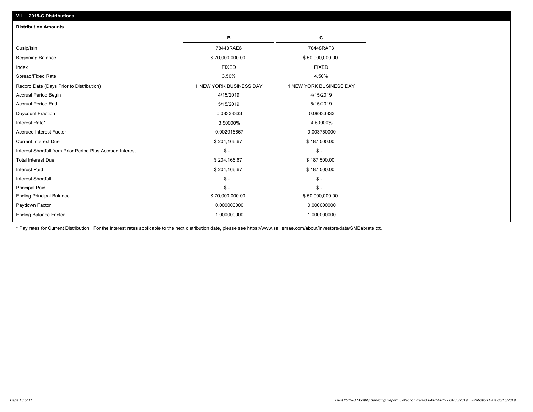| <b>Distribution Amounts</b>                                |                         |                         |
|------------------------------------------------------------|-------------------------|-------------------------|
|                                                            | в                       | С                       |
| Cusip/Isin                                                 | 78448RAE6               | 78448RAF3               |
| <b>Beginning Balance</b>                                   | \$70,000,000.00         | \$50,000,000.00         |
| Index                                                      | <b>FIXED</b>            | <b>FIXED</b>            |
| Spread/Fixed Rate                                          | 3.50%                   | 4.50%                   |
| Record Date (Days Prior to Distribution)                   | 1 NEW YORK BUSINESS DAY | 1 NEW YORK BUSINESS DAY |
| <b>Accrual Period Begin</b>                                | 4/15/2019               | 4/15/2019               |
| <b>Accrual Period End</b>                                  | 5/15/2019               | 5/15/2019               |
| Daycount Fraction                                          | 0.08333333              | 0.08333333              |
| Interest Rate*                                             | 3.50000%                | 4.50000%                |
| <b>Accrued Interest Factor</b>                             | 0.002916667             | 0.003750000             |
| <b>Current Interest Due</b>                                | \$204,166.67            | \$187,500.00            |
| Interest Shortfall from Prior Period Plus Accrued Interest | $\mathsf{\$}$ -         | $\frac{1}{2}$           |
| <b>Total Interest Due</b>                                  | \$204,166.67            | \$187,500.00            |
| Interest Paid                                              | \$204,166.67            | \$187,500.00            |
| Interest Shortfall                                         | $\mathsf{\$}$ -         | $\mathsf{\$}$ -         |
| <b>Principal Paid</b>                                      | $\mathsf{\$}$ -         | $\mathsf{\$}$ -         |
| <b>Ending Principal Balance</b>                            | \$70,000,000.00         | \$50,000,000.00         |
| Paydown Factor                                             | 0.000000000             | 0.000000000             |
| <b>Ending Balance Factor</b>                               | 1.000000000             | 1.000000000             |

\* Pay rates for Current Distribution. For the interest rates applicable to the next distribution date, please see https://www.salliemae.com/about/investors/data/SMBabrate.txt.

**VII. 2015-C Distributions**